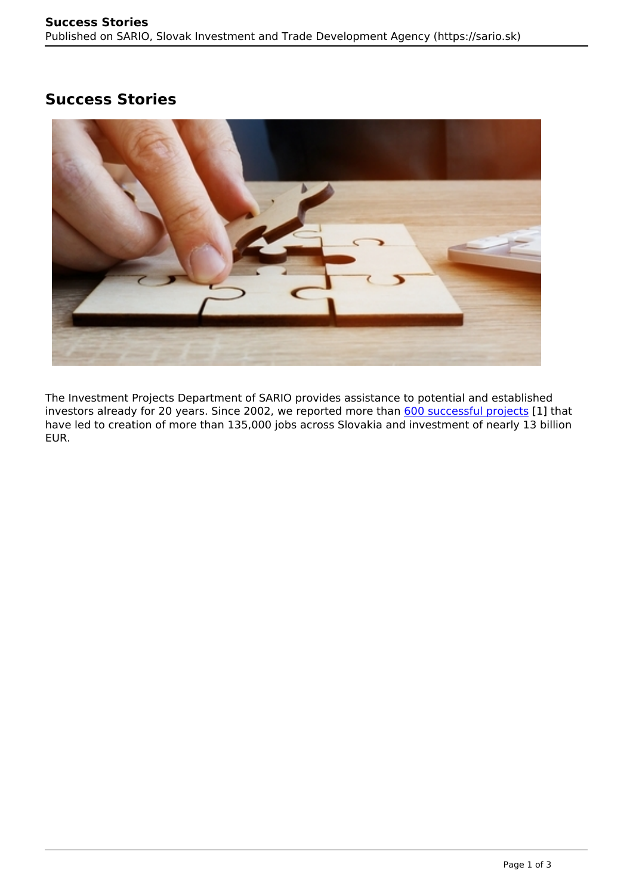## **Success Stories**



The Investment Projects Department of SARIO provides assistance to potential and established investors already for 20 years. Since 2002, we reported more than [600 successful projects](https://www.sario.sk/sites/default/files/sario-references-eng-2022-03-21.pdf) [1] that have led to creation of more than 135,000 jobs across Slovakia and investment of nearly 13 billion EUR.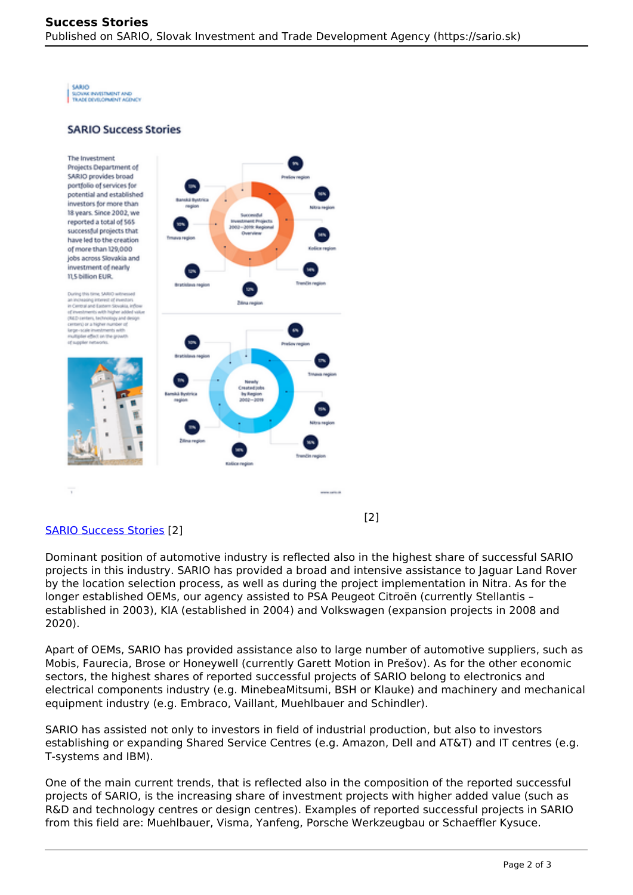**SARIO** SUDUK INVESTMENT AND

## **SARIO Success Stories**

The Investment Projects Department of SARIO provides broad portfolio of services for potential and established investors for more than 18 years. Since 2002, we reported a total of 565 successful projects that have led to the creation of more than 129,000 jobs across Slovakia and investment of nearly **11.5 billion EUR.** 

During this time, SARIO at

affairs and the

rest of investor in Central and Eastern Sicualia, inf the with holder added up



## [SARIO Success Stories](https://www.sario.sk/sites/default/files/sario-success-stories-2022-03-01-eng.pdf) [2]

Dominant position of automotive industry is reflected also in the highest share of successful SARIO projects in this industry. SARIO has provided a broad and intensive assistance to Jaguar Land Rover by the location selection process, as well as during the project implementation in Nitra. As for the longer established OEMs, our agency assisted to PSA Peugeot Citroën (currently Stellantis – established in 2003), KIA (established in 2004) and Volkswagen (expansion projects in 2008 and 2020).

[2]

Apart of OEMs, SARIO has provided assistance also to large number of automotive suppliers, such as Mobis, Faurecia, Brose or Honeywell (currently Garett Motion in Prešov). As for the other economic sectors, the highest shares of reported successful projects of SARIO belong to electronics and electrical components industry (e.g. MinebeaMitsumi, BSH or Klauke) and machinery and mechanical equipment industry (e.g. Embraco, Vaillant, Muehlbauer and Schindler).

SARIO has assisted not only to investors in field of industrial production, but also to investors establishing or expanding Shared Service Centres (e.g. Amazon, Dell and AT&T) and IT centres (e.g. T-systems and IBM).

One of the main current trends, that is reflected also in the composition of the reported successful projects of SARIO, is the increasing share of investment projects with higher added value (such as R&D and technology centres or design centres). Examples of reported successful projects in SARIO from this field are: Muehlbauer, Visma, Yanfeng, Porsche Werkzeugbau or Schaeffler Kysuce.